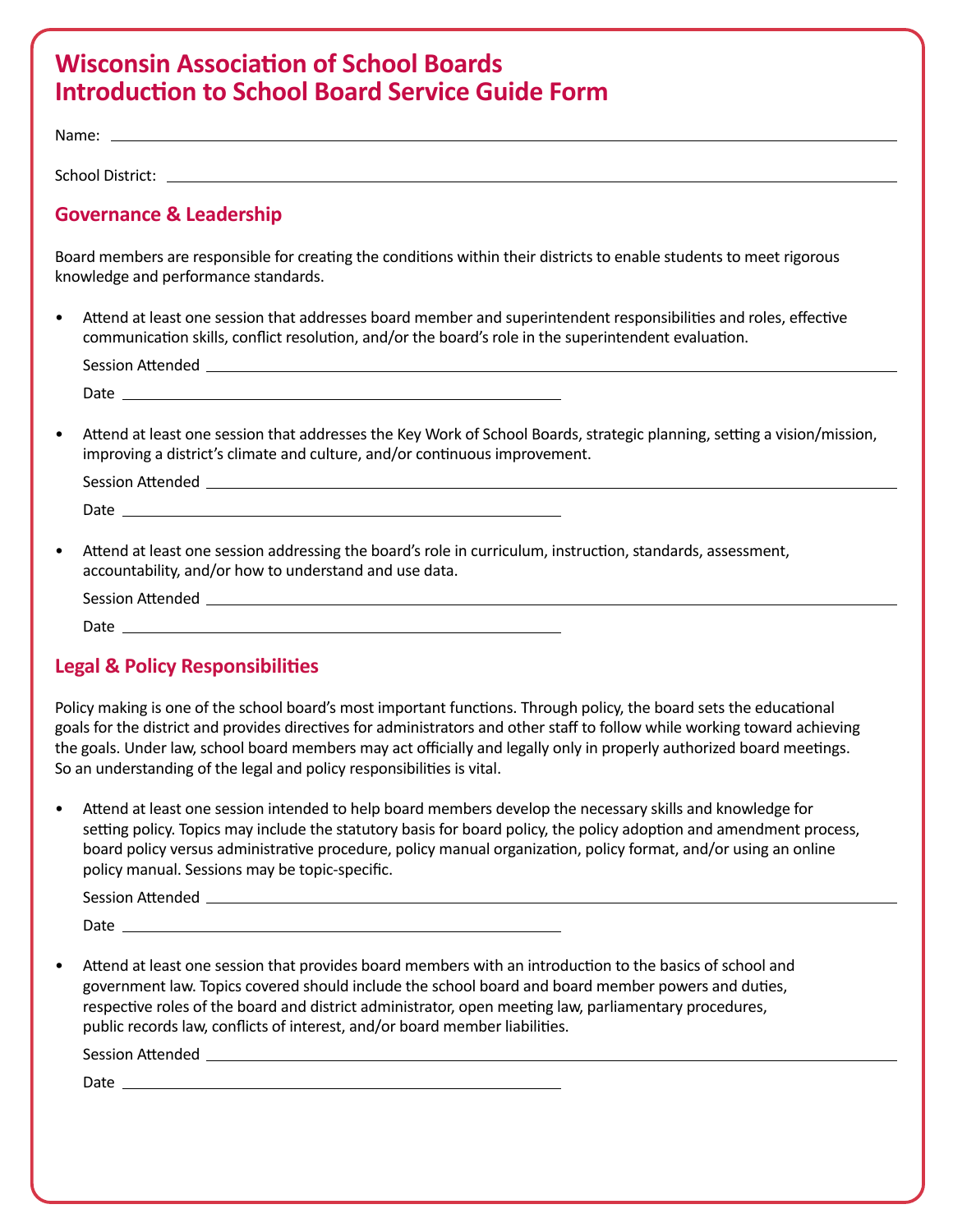# **Wisconsin Association of School Boards Introduction to School Board Service Guide Form**

Name: \_

School District:

## **Governance & Leadership**

Board members are responsible for creating the conditions within their districts to enable students to meet rigorous knowledge and performance standards.

• Attend at least one session that addresses board member and superintendent responsibilities and roles, effective communication skills, conflict resolution, and/or the board's role in the superintendent evaluation.

| <b>Session Attended</b> |  |  |  |
|-------------------------|--|--|--|
| <i>D</i> ate            |  |  |  |

• Attend at least one session that addresses the Key Work of School Boards, strategic planning, setting a vision/mission, improving a district's climate and culture, and/or continuous improvement.

| <b>Session Attended</b> |  |
|-------------------------|--|
| Date                    |  |

• Attend at least one session addressing the board's role in curriculum, instruction, standards, assessment, accountability, and/or how to understand and use data.

| <b>Session Attended</b> |  |
|-------------------------|--|
| Date                    |  |

### **Legal & Policy Responsibilities**

Policy making is one of the school board's most important functions. Through policy, the board sets the educational goals for the district and provides directives for administrators and other staff to follow while working toward achieving the goals. Under law, school board members may act officially and legally only in properly authorized board meetings. So an understanding of the legal and policy responsibilities is vital.

• Attend at least one session intended to help board members develop the necessary skills and knowledge for setting policy. Topics may include the statutory basis for board policy, the policy adoption and amendment process, board policy versus administrative procedure, policy manual organization, policy format, and/or using an online policy manual. Sessions may be topic-specific.

Session Attended

Date

• Attend at least one session that provides board members with an introduction to the basics of school and government law. Topics covered should include the school board and board member powers and duties, respective roles of the board and district administrator, open meeting law, parliamentary procedures, public records law, conflicts of interest, and/or board member liabilities.

Session Attended

Date \_\_\_\_\_